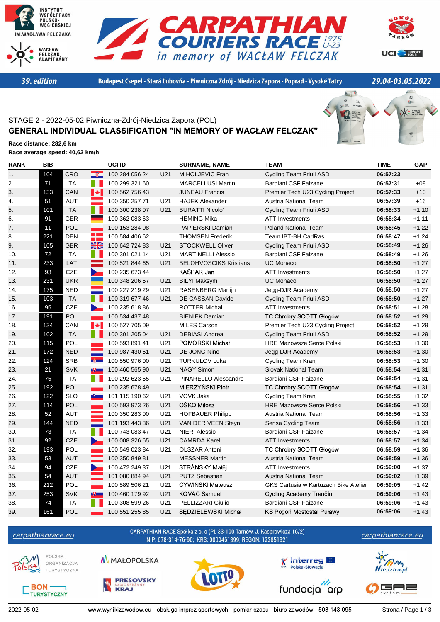







39. edition

Budapest Csepel - Stará Ľubovňa - Piwniczna Zdrój - Niedzica Zapora - Poprad - Vysoké Tatry

29.04-03.05.2022

## STAGE 2 - 2022-05-02 Piwniczna-Zdrój-Niedzica Zapora (POL) GENERAL INDIVIDUAL CLASSIFICATION "IN MEMORY OF WACŁAW FELCZAK"



**Race distance: 282,6 km Race average speed: 40,62 km/h**

| <b>RANK</b> | <b>BIB</b> |                                 |                         | UCI ID         |                 | <b>SURNAME, NAME</b>          | <b>TEAM</b>                           | <b>TIME</b> | <b>GAP</b> |
|-------------|------------|---------------------------------|-------------------------|----------------|-----------------|-------------------------------|---------------------------------------|-------------|------------|
| 1.          | 104        | CRO                             |                         | 100 284 056 24 | U <sub>21</sub> | MIHOLJEVIC Fran               | Cycling Team Friuli ASD               | 06:57:23    |            |
| 2.          | 71         | <b>ITA</b>                      |                         | 100 299 321 60 |                 | <b>MARCELLUSI Martin</b>      | Bardiani CSF Faizane                  | 06:57:31    | $+08$      |
| 3.          | 133        | $\left  \bullet \right $<br>CAN |                         | 100 562 756 43 |                 | <b>JUNEAU Francis</b>         | Premier Tech U23 Cycling Project      | 06:57:33    | $+10$      |
| 4.          | 51         | <b>AUT</b>                      |                         | 100 350 257 71 | U <sub>21</sub> | <b>HAJEK Alexander</b>        | Austria National Team                 | 06:57:39    | $+16$      |
| 5.          | 101        | <b>ITA</b>                      |                         | 100 300 238 07 | U <sub>21</sub> | <b>BURATTI Nicolo'</b>        | Cycling Team Friuli ASD               | 06:58:33    | $+1:10$    |
| 6.          | 91         | <b>GER</b>                      |                         | 100 362 083 63 |                 | <b>HEMING Mika</b>            | <b>ATT Investments</b>                | 06:58:34    | $+1:11$    |
| 7.          | 11         | <b>POL</b><br>m.                |                         | 100 153 284 08 |                 | PAPIERSKI Damian              | <b>Poland National Team</b>           | 06:58:45    | $+1:22$    |
| 8.          | 221        | <b>DEN</b>                      | a post<br><b>The Co</b> | 100 584 406 62 |                 | <b>THOMSEN Frederik</b>       | Team IBT-BH CarlRas                   | 06:58:47    | $+1:24$    |
| 9.          | 105        | <b>GBR</b>                      | XK                      | 100 642 724 83 | U21             | <b>STOCKWELL Oliver</b>       | Cycling Team Friuli ASD               | 06:58:49    | $+1:26$    |
| 10.         | 72         | <b>ITA</b>                      |                         | 100 301 021 14 | U21             | <b>MARTINELLI Alessio</b>     | Bardiani CSF Faizane                  | 06:58:49    | $+1:26$    |
| 11.         | 233        | LAT                             |                         | 100 521 844 65 | U21             | <b>BELOHVOSCIKS Kristians</b> | <b>UC Monaco</b>                      | 06:58:50    | $+1:27$    |
| 12.         | 93         | CZE<br>$\blacktriangleright$    |                         | 100 235 673 44 |                 | KAŠPAR Jan                    | <b>ATT Investments</b>                | 06:58:50    | $+1:27$    |
| 13.         | 231        | <b>UKR</b>                      |                         | 100 348 206 57 | U21             | <b>BILYI Maksym</b>           | <b>UC Monaco</b>                      | 06:58:50    | $+1:27$    |
| 14.         | 175        | <b>NED</b>                      |                         | 100 227 219 29 | U21             | RASENBERG Martijn             | Jegg-DJR Academy                      | 06:58:50    | $+1:27$    |
| 15.         | 103        | <b>ITA</b>                      |                         | 100 319 677 46 | U21             | DE CASSAN Davide              | Cycling Team Friuli ASD               | 06:58:50    | $+1:27$    |
| 16.         | 95         | CZE                             |                         | 100 235 618 86 |                 | <b>ROTTER Michal</b>          | <b>ATT Investments</b>                | 06:58:51    | $+1:28$    |
| 17.         | 191        | <b>POL</b>                      |                         | 100 534 437 48 |                 | <b>BIENIEK Damian</b>         | <b>TC Chrobry SCOTT Głogów</b>        | 06:58:52    | $+1:29$    |
| 18.         | 134        | CAN                             | <b>I</b>                | 100 527 705 09 |                 | <b>MILES Carson</b>           | Premier Tech U23 Cycling Project      | 06:58:52    | $+1:29$    |
| 19.         | 102        | T.<br><b>ITA</b>                |                         | 100 301 205 04 | U <sub>21</sub> | <b>DEBIASI Andrea</b>         | Cycling Team Friuli ASD               | 06:58:52    | $+1:29$    |
| 20.         | 115        | <b>POL</b>                      |                         | 100 593 891 41 | U <sub>21</sub> | POMORSKI Michał               | <b>HRE Mazowsze Serce Polski</b>      | 06:58:53    | $+1:30$    |
| 21.         | 172        | <b>NED</b>                      |                         | 100 987 430 51 | U21             | DE JONG Nino                  | Jegg-DJR Academy                      | 06:58:53    | $+1:30$    |
| 22.         | 124        | <b>SRB</b>                      | 原则                      | 100 550 976 00 | U21             | <b>TURKULOV Luka</b>          | Cycling Team Kranj                    | 06:58:53    | $+1:30$    |
| 23.         | 21         | <b>SVK</b>                      | $\mathbb{R}$            | 100 460 565 90 | U21             | <b>NAGY Simon</b>             | <b>Slovak National Team</b>           | 06:58:54    | $+1:31$    |
| 24.         | 75         | <b>ITA</b>                      |                         | 100 292 623 55 | U21             | PINARELLO Alessandro          | Bardiani CSF Faizane                  | 06:58:54    | $+1:31$    |
| 25.         | 192        | <b>POL</b>                      |                         | 100 235 678 49 |                 | MIERZYŃSKI Piotr              | TC Chrobry SCOTT Głogów               | 06:58:54    | $+1:31$    |
| 26.         | 122        | <b>SLO</b>                      | $\mathbf{c}$            | 101 115 190 62 | U21             | VOVK Jaka                     | Cycling Team Kranj                    | 06:58:55    | $+1:32$    |
| 27.         | 114        | <b>POL</b>                      |                         | 100 593 973 26 | U <sub>21</sub> | OŚKO Miłosz                   | <b>HRE Mazowsze Serce Polski</b>      | 06:58:56    | $+1:33$    |
| 28.         | 52         | AUT                             |                         | 100 350 283 00 | U <sub>21</sub> | <b>HOFBAUER Philipp</b>       | Austria National Team                 | 06:58:56    | $+1:33$    |
| 29.         | 144        | <b>NED</b>                      |                         | 101 193 443 36 | U21             | VAN DER VEEN Steyn            | Sensa Cycling Team                    | 06:58:56    | $+1:33$    |
| 30.         | 73         | <b>ITA</b>                      |                         | 100 743 083 47 | U21             | <b>NIERI Alessio</b>          | Bardiani CSF Faizane                  | 06:58:57    | $+1:34$    |
| 31.         | 92         | CZE                             |                         | 100 008 326 65 | U <sub>21</sub> | <b>CAMRDA Karel</b>           | <b>ATT Investments</b>                | 06:58:57    | $+1:34$    |
| 32.         | 193        | POL                             |                         | 100 549 023 84 | U21             | <b>OLSZAR Antoni</b>          | TC Chrobry SCOTT Głogów               | 06:58:59    | $+1:36$    |
| 33.         | 53         | <b>AUT</b>                      |                         | 100 350 849 81 |                 | <b>MESSNER Martin</b>         | <b>Austria National Team</b>          | 06:58:59    | $+1:36$    |
| 34.         | 94         | CZE                             |                         | 100 472 249 37 | U21             | STRÁNSKÝ Matěj                | <b>ATT Investments</b>                | 06:59:00    | $+1:37$    |
| 35.         | 54         | <b>AUT</b>                      |                         | 101 080 884 94 | U21             | <b>PUTZ Sebastian</b>         | <b>Austria National Team</b>          | 06:59:02    | $+1:39$    |
| 36.         | 212        | <b>POL</b>                      |                         | 100 589 506 21 | U21             | CYWIŃSKI Mateusz              | GKS Cartusia w Kartuzach Bike Atelier | 06:59:05    | $+1:42$    |
| 37.         | 253        | <b>SVK</b>                      | $\mathbb{R}$            | 100 460 179 92 | U21             | KOVÁČ Samuel                  | Cycling Academy Trenčín               | 06:59:06    | $+1.43$    |
| 38.         | 74         | <b>ITA</b>                      |                         | 100 308 599 26 | U21             | PELLIZZARI Giulio             | Bardiani CSF Faizane                  | 06:59:06    | $+1:43$    |
| 39.         | 161        | <b>POL</b>                      |                         | 100 551 255 85 | U21             | SEDZIELEWSKI Michał           | KS Pogoń Mostostal Puławy             | 06:59:06    | $+1:43$    |

## carpathianrace.eu

**BON-**

TURYSTYCZNY

POLSKA

CARPATHIAN RACE Spółka z o. o (PL 33-100 Tarnów, J. Kasprowicza 16/2) NIP: 678-314-76-90; KRS: 0000461399; REGON: 122851321



M MAŁOPOLSKA ORGANIZACJA TURYSTYCZNA







carpathianrace.eu

c۵۴ ∍≡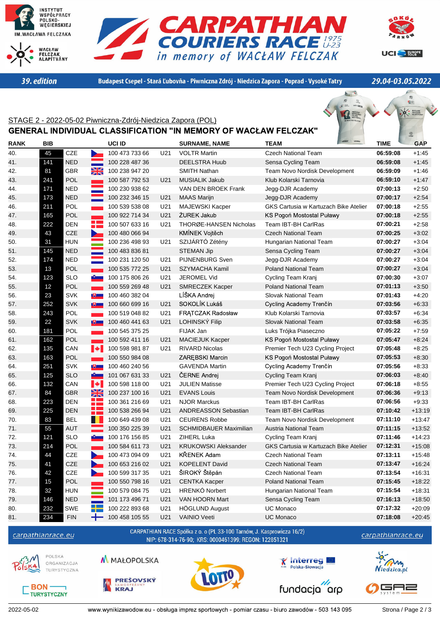

39. edition





Budapest Csepel - Stará Ľubovňa - Piwniczna Zdrój - Niedzica Zapora - Poprad - Vysoké Tatry

29.04-03.05.2022

。<br>12座

## O FELCZAK STAGE 2 - 2022-05-02 Piwniczna-Zdrój-Niedzica Zapora (POL) GENERAL INDIVIDUAL CLASSIFICATION "IN MEMORY OF WACŁAW FELCZAK"  $^{\circ}$ **RANK BIB UCI ID SURNAME, NAME TEAM TIME GAP** 40. 45 CZE 100 473 733 66 U21 VOLTR Martin Czech National Team **06:59:08** +1:45 41. 141 NED 100 228 487 36 DEELSTRA Huub Sensa Cycling Team **06:59:08** +1:45 42. 81 GBR 100 238 947 20 SMITH Nathan Team Novo Nordisk Development **06:59:09** +1:46 43. 241 POL 100 587 792 53 U21 MUSIALIK Jakub Klub Kolarski Tarnovia **06:59:10** +1:47 44. 171 NED 100 230 938 62 VAN DEN BROEK Frank Jegg-DJR Academy **07:00:13** +2:50 45. 173 NED 100 232 346 15 U21 MAAS Marijn Jegg-DJR Academy **07:00:17** +2:54 46. 211 POL 100 539 538 08 U21 MAJEWSKI Kacper GKS Cartusia w Kartuzach Bike Atelier **07:00:18** +2:55 47. 165 POL 100 922 714 34 U21 ŻUREK Jakub KS Pogoń Mostostal Puławy **07:00:18** +2:55 48. 222 DEN 100 507 633 16 U21 THORØE-HANSEN Nicholas Team IBT-BH CarlRas **07:00:21** +2:58 49. 43 CZE 100 480 066 94 KMÍNEK Vojtěch Czech National Team **07:00:25** +3:02 50. 31 HUN 100 236 498 93 U21 SZIJÁRTÓ Zétény Hungarian National Team **07:00:27** +3:04 51. 145 NED 100 483 836 81 STEMAN Jip Sensa Cycling Team **07:00:27** +3:04 52. 174 NED 100 231 120 50 U21 PIJNENBURG Sven Jegg-DJR Academy **07:00:27** +3:04 53. 13 POL 100 535 772 25 U21 SZYMACHA Kamil Poland National Team **07:00:27** +3:04 54. 123 SLO 100 175 806 26 U21 JEROMEL Vid Cycling Team Kranj **07:00:30** +3:07 55. 12 POL 100 559 269 48 U21 SMRECZEK Kacper Poland National Team **07:01:13** +3:50 56. 23 SVK 100 460 382 04 LÍŠKA Andrej Slovak National Team **07:01:43** +4:20 57. 252 SVK 100 660 699 16 U21 SOKOLÍK Lukáš Cycling Academy Trenčín **07:03:56** +6:33 58. 243 POL 100 519 048 82 U21 FRĄTCZAK Radosław Klub Kolarski Tarnovia **07:03:57** +6:34 59. 22 SVK 100 460 441 63 U21 LOHINSKÝ Filip Slovak National Team **07:03:58** +6:35 60. 181 POL 100 545 375 25 FIJAK Jan Luks Trójka Piaseczno **07:05:22** +7:59 61. 162 POL 100 592 411 16 U21 MACIEJUK Kacper KS Pogoń Mostostal Puławy **07:05:47** +8:24 62. 135 CAN 100 598 981 87 U21 RIVARD Nicolas Premier Tech U23 Cycling Project **07:05:48** +8:25 63. 163 POL 100 550 984 08 ZARĘBSKI Marcin KS Pogoń Mostostal Puławy **07:05:53** +8:30 64. 251 SVK 100 460 240 56 GAVENDA Martin Cycling Academy Trenčín **07:05:56** +8:33 65. 125 SLO 101 067 631 33 U21 ČERNE Andrej Cycling Team Kranj **07:06:03** +8:40 66. 132 CAN 100 598 118 00 U21 JULIEN Matisse Premier Tech U23 Cycling Project **07:06:18** +8:55 67. 84 GBR 100 237 100 16 U21 EVANS Louis Team Novo Nordisk Development **07:06:36** +9:13 68. 223 DEN 100 361 216 69 U21 NJOR Marckus Team IBT-BH CarlRas **07:06:56** +9:33 69. 225 DEN 100 538 266 94 U21 ANDREASSON Sebastian Team IBT-BH CarlRas **07:10:42** +13:19 70. 83 BEL 100 649 439 08 U21 CEURENS Robbe Team Novo Nordisk Development **07:11:10** +13:47 71. 55 AUT 100 350 225 39 U21 SCHMIDBAUER Maximilian Austria National Team **07:11:15** +13:52 72. 121 SLO 100 176 156 85 U21 ZIHERL Luka Cycling Team Kranj **07:11:46** +14:23 73. 214 POL 100 584 611 73 U21 KRUKOWSKI Aleksander GKS Cartusia w Kartuzach Bike Atelier **07:12:31** +15:08 74. 44 CZE 100 473 094 09 U21 KŘENEK Adam Czech National Team **07:13:11** +15:48 75. 41 CZE 100 653 216 02 U21 KOPELENT David Czech National Team **07:13:47** +16:24 76. 42 CZE 100 599 317 35 U21 ŠIROKÝ Štěpán Czech National Team **07:13:54** +16:31 77. 15 POL 100 550 798 16 U21 CENTKA Kacper Poland National Team **07:15:45** +18:22 78. 32 HUN 100 579 084 75 U21 HRENKÓ Norbert Hungarian National Team **07:15:54** +18:31 79. 146 NED 101 173 496 71 U21 VAN HOORN Mart Sensa Cycling Team **07:16:13** +18:50 80. 232 SWE 100 222 893 68 U21 HÖGLUND August UC Monaco **07:17:32** +20:09 81. 234 FIN 100 458 105 55 U21 VAINIO Veeti UC Monaco **07:18:08** +20:45 CARPATHIAN RACE Spółka z o. o (PL 33-100 Tarnów, J. Kasprowicza 16/2) carpathianrace.eu carpathianrace.eu NIP: 678-314-76-90; KRS: 0000461399; REGON: 122851321



**BON** 

**TURYSTYCZNY** 

**POLSKA** 

**M** MAŁOPOLSKA ORGANIZAC.IA TURYSTYCZNA









fundacja arp